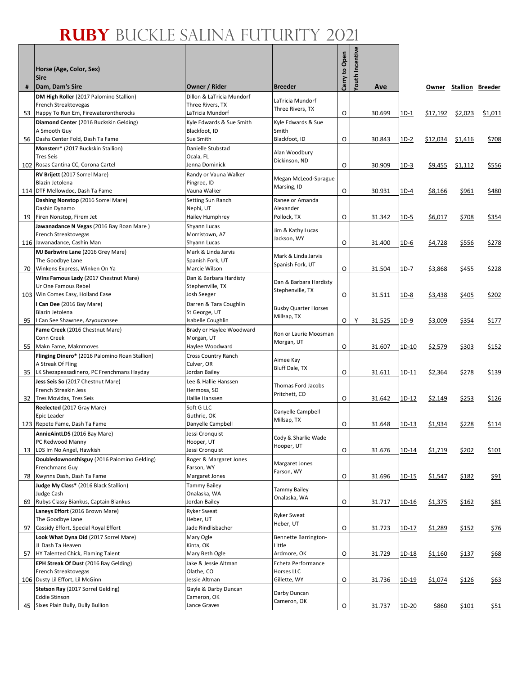٦

|    | Horse (Age, Color, Sex)<br><b>Sire</b><br>Dam, Dam's Sire              | Owner / Rider                          | lBreeder                            | Carry to Open | <b>Youth Incentive</b> |        |         |                |                        |              |
|----|------------------------------------------------------------------------|----------------------------------------|-------------------------------------|---------------|------------------------|--------|---------|----------------|------------------------|--------------|
| #  | DM High Roller (2017 Palomino Stallion)                                | Dillon & LaTricia Mundorf              |                                     |               |                        | Ave    |         |                | Owner Stallion Breeder |              |
|    | French Streaktovegas                                                   | Three Rivers, TX                       | LaTricia Mundorf                    |               |                        |        |         |                |                        |              |
| 53 | Happy To Run Em, Firewaterontherocks                                   | LaTricia Mundorf                       | Three Rivers, TX                    | O             |                        | 30.699 | 1D-1    | \$17,192       | \$2,023                | \$1,011      |
|    | Diamond Center (2016 Buckskin Gelding)                                 | Kyle Edwards & Sue Smith               | Kyle Edwards & Sue                  |               |                        |        |         |                |                        |              |
|    | A Smooth Guy                                                           | Blackfoot, ID                          | Smith                               |               |                        |        |         |                |                        |              |
| 56 | Dashs Center Fold, Dash Ta Fame                                        | Sue Smith                              | Blackfoot, ID                       | O             |                        | 30.843 | 1D-2    | \$12,034       | \$1,416                | \$708        |
|    | Monsterr* (2017 Buckskin Stallion)<br><b>Tres Seis</b>                 | Danielle Stubstad<br>Ocala, FL         | Alan Woodbury                       |               |                        |        |         |                |                        |              |
|    | 102 Rosas Cantina CC, Corona Cartel                                    | Jenna Dominick                         | Dickinson, ND                       | О             |                        | 30.909 | 1D-3    | \$9,455        | <u>\$1,112</u>         | \$556        |
|    | RV Brijett (2017 Sorrel Mare)                                          | Randy or Vauna Walker                  |                                     |               |                        |        |         |                |                        |              |
|    | Blazin Jetolena                                                        | Pingree, ID                            | Megan McLeod-Sprague<br>Marsing, ID |               |                        |        |         |                |                        |              |
|    | 114 DTF Mellowdoc, Dash Ta Fame                                        | Vauna Walker                           |                                     | O             |                        | 30.931 | $1D-4$  | \$8,166        | \$961                  | \$480        |
|    | Dashing Nonstop (2016 Sorrel Mare)                                     | Setting Sun Ranch                      | Ranee or Amanda<br>Alexander        |               |                        |        |         |                |                        |              |
| 19 | Dashin Dynamo<br>Firen Nonstop, Firem Jet                              | Nephi, UT<br>Hailey Humphrey           | Pollock, TX                         | О             |                        | 31.342 | $1D-5$  | \$6,017        | \$708                  | <u>\$354</u> |
|    | Jawanadance N Vegas (2016 Bay Roan Mare)                               | Shyann Lucas                           |                                     |               |                        |        |         |                |                        |              |
|    | French Streaktovegas                                                   | Morristown, AZ                         | Jim & Kathy Lucas<br>Jackson, WY    |               |                        |        |         |                |                        |              |
|    | 116 Jawanadance, Cashin Man                                            | Shyann Lucas                           |                                     | O             |                        | 31.400 | $1D-6$  | \$4,728        | \$556                  | \$278        |
|    | MJ Barbwire Lane (2016 Grey Mare)                                      | Mark & Linda Jarvis                    | Mark & Linda Jarvis                 |               |                        |        |         |                |                        |              |
|    | The Goodbye Lane                                                       | Spanish Fork, UT<br>Marcie Wilson      | Spanish Fork, UT                    | O             |                        | 31.504 |         |                |                        |              |
| 70 | Winkens Express, Winken On Ya<br>Wins Famous Lady (2017 Chestnut Mare) | Dan & Barbara Hardisty                 |                                     |               |                        |        | 1D-7    | \$3,868        | \$455                  | \$228        |
|    | Ur One Famous Rebel                                                    | Stephenville, TX                       | Dan & Barbara Hardisty              |               |                        |        |         |                |                        |              |
|    | 103 Win Comes Easy, Holland Ease                                       | Josh Seeger                            | Stephenville, TX                    | O             |                        | 31.511 | 1D-8    | \$3,438        | \$405                  | \$202        |
|    | I Can Dee (2016 Bay Mare)                                              | Darren & Tara Coughlin                 | <b>Busby Quarter Horses</b>         |               |                        |        |         |                |                        |              |
|    | Blazin Jetolena                                                        | St George, UT                          | Millsap, TX                         |               |                        |        |         |                |                        |              |
| 95 | I Can See Shawnee, Azyoucansee                                         | Isabelle Coughlin                      |                                     | O             | Υ                      | 31.525 | $1D-9$  | \$3,009        | \$354                  | \$177        |
|    | Fame Creek (2016 Chestnut Mare)<br>Conn Creek                          | Brady or Haylee Woodward<br>Morgan, UT | Ron or Laurie Moosman               |               |                        |        |         |                |                        |              |
| 55 | Makn Fame, Maknmoves                                                   | Haylee Woodward                        | Morgan, UT                          | O             |                        | 31.607 | 1D-10   | \$2,579        | \$303                  | \$152        |
|    | Flinging Dinero* (2016 Palomino Roan Stallion)                         | Cross Country Ranch                    |                                     |               |                        |        |         |                |                        |              |
|    | A Streak Of Fling                                                      | Culver, OR                             | Aimee Kay<br>Bluff Dale, TX         |               |                        |        |         |                |                        |              |
| 35 | LK Shezapeasadinero, PC Frenchmans Hayday                              | Jordan Bailey                          |                                     | 0             |                        | 31.611 | 1D-11   | \$2,364        | \$278                  | \$139        |
|    | Jess Seis So (2017 Chestnut Mare)<br>French Streakin Jess              | Lee & Hallie Hanssen<br>Hermosa, SD    | Thomas Ford Jacobs                  |               |                        |        |         |                |                        |              |
| 32 | Tres Movidas, Tres Seis                                                | Hallie Hanssen                         | Pritchett, CO                       | O             |                        | 31.642 | 1D-12   | <u>\$2,149</u> | \$253                  | <u>\$126</u> |
|    | Reelected (2017 Gray Mare)                                             | Soft G LLC                             |                                     |               |                        |        |         |                |                        |              |
|    | Epic Leader                                                            | Guthrie, OK                            | Danyelle Campbell<br>Millsap, TX    |               |                        |        |         |                |                        |              |
|    | 123 Repete Fame, Dash Ta Fame                                          | Danyelle Campbell                      |                                     | O             |                        | 31.648 | 1D-13   | \$1,934        | \$228                  | \$114        |
|    | AnnieAintLDS (2016 Bay Mare)                                           | Jessi Cronquist                        | Cody & Sharlie Wade                 |               |                        |        |         |                |                        |              |
| 13 | PC Redwood Manny<br>LDS Im No Angel, Hawkish                           | Hooper, UT<br>Jessi Cronquist          | Hooper, UT                          | O             |                        | 31.676 | 1D-14   | \$1,719        | \$202                  | \$101        |
|    | Doubledownonthisguy (2016 Palomino Gelding)                            | Roger & Margaret Jones                 |                                     |               |                        |        |         |                |                        |              |
|    | Frenchmans Guy                                                         | Farson, WY                             | <b>Margaret Jones</b><br>Farson, WY |               |                        |        |         |                |                        |              |
| 78 | Kwynns Dash, Dash Ta Fame                                              | Margaret Jones                         |                                     | O             |                        | 31.696 | 1D-15   | \$1,547        | \$182                  | \$91         |
|    | Judge My Class* (2016 Black Stallion)                                  | Tammy Bailey                           | <b>Tammy Bailey</b>                 |               |                        |        |         |                |                        |              |
| 69 | Judge Cash<br>Rubys Classy Biankus, Captain Biankus                    | Onalaska, WA<br>Jordan Bailey          | Onalaska, WA                        | O             |                        | 31.717 | 1D-16   | \$1,375        | \$162                  | \$81         |
|    | Laneys Effort (2016 Brown Mare)                                        | <b>Ryker Sweat</b>                     |                                     |               |                        |        |         |                |                        |              |
|    | The Goodbye Lane                                                       | Heber, UT                              | <b>Ryker Sweat</b><br>Heber, UT     |               |                        |        |         |                |                        |              |
| 97 | Cassidy Effort, Special Royal Effort                                   | Jade Rindlisbacher                     |                                     | O             |                        | 31.723 | $1D-17$ | \$1,289        | \$152                  | \$76         |
|    | Look What Dyna Did (2017 Sorrel Mare)                                  | Mary Ogle                              | Bennette Barrington-                |               |                        |        |         |                |                        |              |
|    | JL Dash Ta Heaven<br>57 HY Talented Chick, Flaming Talent              | Kinta, OK                              | Little                              | O             |                        | 31.729 |         |                |                        |              |
|    | EPH Streak Of Dust (2016 Bay Gelding)                                  | Mary Beth Ogle<br>Jake & Jessie Altman | Ardmore, OK<br>Echeta Performance   |               |                        |        | 1D-18   | \$1,160        | \$137                  | \$68         |
|    | French Streaktovegas                                                   | Olathe, CO                             | Horses LLC                          |               |                        |        |         |                |                        |              |
|    | 106 Dusty Lil Effort, Lil McGinn                                       | Jessie Altman                          | Gillette, WY                        | O             |                        | 31.736 | 1D-19   | \$1,074        | \$126                  | \$63         |
|    | Stetson Ray (2017 Sorrel Gelding)                                      | Gayle & Darby Duncan                   | Darby Duncan                        |               |                        |        |         |                |                        |              |
|    | <b>Eddie Stinson</b>                                                   | Cameron, OK                            | Cameron, OK                         |               |                        |        |         |                |                        |              |
| 45 | Sixes Plain Bully, Bully Bullion                                       | Lance Graves                           |                                     | O             |                        | 31.737 | 1D-20   | <u>\$860</u>   | \$101                  | \$51         |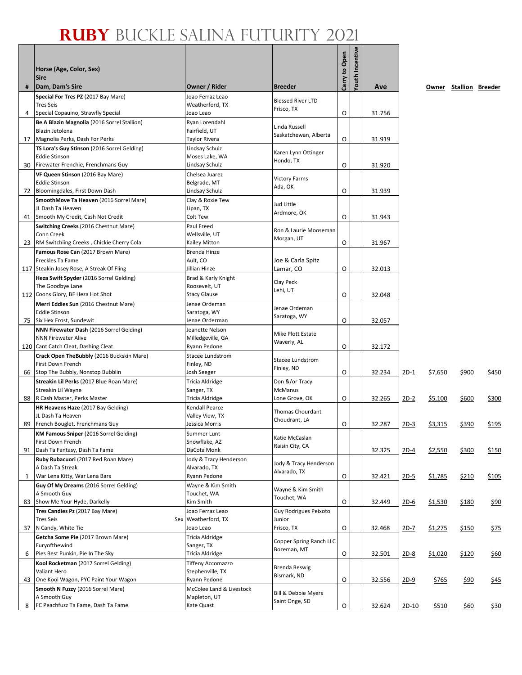# **Ruby** Buckle Salina Futurity 2021

| #  | Horse (Age, Color, Sex)<br><b>Sire</b><br>Dam, Dam's Sire       | Owner / Rider                    | <b>Breeder</b>                   | Carry to Open | Youth Incentive | Ave    |         |                | Owner Stallion Breeder |             |
|----|-----------------------------------------------------------------|----------------------------------|----------------------------------|---------------|-----------------|--------|---------|----------------|------------------------|-------------|
|    | Special For Tres PZ (2017 Bay Mare)                             | Joao Ferraz Leao                 |                                  |               |                 |        |         |                |                        |             |
|    | <b>Tres Seis</b>                                                | Weatherford, TX                  | <b>Blessed River LTD</b>         |               |                 |        |         |                |                        |             |
| 4  | Special Copauino, Strawfly Special                              | Joao Leao                        | Frisco, TX                       | O             |                 | 31.756 |         |                |                        |             |
|    | Be A Blazin Magnolia (2016 Sorrel Stallion)                     | Ryan Lorendahl                   | Linda Russell                    |               |                 |        |         |                |                        |             |
|    | Blazin Jetolena                                                 | Fairfield, UT                    | Saskatchewan, Alberta            |               |                 |        |         |                |                        |             |
|    | 17   Magnolia Perks, Dash For Perks                             | <b>Taylor Rivera</b>             |                                  | O             |                 | 31.919 |         |                |                        |             |
|    | TS Lora's Guy Stinson (2016 Sorrel Gelding)                     | Lindsay Schulz                   | Karen Lynn Ottinger              |               |                 |        |         |                |                        |             |
|    | <b>Eddie Stinson</b><br>Firewater Frenchie, Frenchmans Guy      | Moses Lake, WA<br>Lindsay Schulz | Hondo, TX                        | O             |                 |        |         |                |                        |             |
| 30 | VF Queen Stinson (2016 Bay Mare)                                | Chelsea Juarez                   |                                  |               |                 | 31.920 |         |                |                        |             |
|    | <b>Eddie Stinson</b>                                            | Belgrade, MT                     | <b>Victory Farms</b>             |               |                 |        |         |                |                        |             |
| 72 | Bloomingdales, First Down Dash                                  | Lindsay Schulz                   | Ada, OK                          | O             |                 | 31.939 |         |                |                        |             |
|    | SmoothMove Ta Heaven (2016 Sorrel Mare)                         | Clay & Roxie Tew                 |                                  |               |                 |        |         |                |                        |             |
|    | JL Dash Ta Heaven                                               | Lipan, TX                        | Jud Little                       |               |                 |        |         |                |                        |             |
| 41 | Smooth My Credit, Cash Not Credit                               | Colt Tew                         | Ardmore, OK                      | O             |                 | 31.943 |         |                |                        |             |
|    | <b>Switching Creeks (2016 Chestnut Mare)</b>                    | Paul Freed                       | Ron & Laurie Mooseman            |               |                 |        |         |                |                        |             |
|    | Conn Creek                                                      | Wellsville, UT                   | Morgan, UT                       |               |                 |        |         |                |                        |             |
| 23 | RM Switchiing Creeks, Chickie Cherry Cola                       | Kailey Mitton                    |                                  | O             |                 | 31.967 |         |                |                        |             |
|    | Famous Rose Can (2017 Brown Mare)                               | <b>Brenda Hinze</b>              |                                  |               |                 |        |         |                |                        |             |
|    | Freckles Ta Fame<br>117 Steakin Josey Rose, A Streak Of Fling   | Ault, CO<br>Jillian Hinze        | Joe & Carla Spitz<br>Lamar, CO   | O             |                 | 32.013 |         |                |                        |             |
|    | Heza Swift Spyder (2016 Sorrel Gelding)                         | Brad & Karly Knight              |                                  |               |                 |        |         |                |                        |             |
|    | The Goodbye Lane                                                | Roosevelt, UT                    | Clay Peck                        |               |                 |        |         |                |                        |             |
|    | 112 Coons Glory, BF Heza Hot Shot                               | <b>Stacy Glause</b>              | Lehi, UT                         | O             |                 | 32.048 |         |                |                        |             |
|    | Merri Eddies Sun (2016 Chestnut Mare)                           | Jenae Ordeman                    |                                  |               |                 |        |         |                |                        |             |
|    | <b>Eddie Stinson</b>                                            | Saratoga, WY                     | Jenae Ordeman                    |               |                 |        |         |                |                        |             |
| 75 | Six Hex Frost, Sundewit                                         | Jenae Orderman                   | Saratoga, WY                     | O             |                 | 32.057 |         |                |                        |             |
|    | NNN Firewater Dash (2016 Sorrel Gelding)                        | Jeanette Nelson                  | Mike Plott Estate                |               |                 |        |         |                |                        |             |
|    | <b>NNN Firewater Alive</b>                                      | Milledgeville, GA                | Waverly, AL                      |               |                 |        |         |                |                        |             |
|    | 120 Cant Catch Cleat, Dashing Cleat                             | Ryann Pedone                     |                                  | O             |                 | 32.172 |         |                |                        |             |
|    | Crack Open The Bubbly (2016 Buckskin Mare)<br>First Down French | <b>Stacee Lundstrom</b>          | <b>Stacee Lundstrom</b>          |               |                 |        |         |                |                        |             |
|    | 66 Stop The Bubbly, Nonstop Bubblin                             | Finley, ND<br>Josh Seeger        | Finley, ND                       | O             |                 | 32.234 | $2D-1$  | <u>\$7,650</u> | \$900                  | \$450       |
|    | Streakin Lil Perks (2017 Blue Roan Mare)                        | Tricia Aldridge                  | Don &/or Tracy                   |               |                 |        |         |                |                        |             |
|    | Streakin Lil Wayne                                              | Sanger, TX                       | McManus                          |               |                 |        |         |                |                        |             |
|    | 88 R Cash Master, Perks Master                                  | Tricia Aldridge                  | Lone Grove, OK                   | O             |                 | 32.265 | $2D-2$  | \$5,100        | \$600                  | \$300       |
|    | HR Heavens Haze (2017 Bay Gelding)                              | <b>Kendall Pearce</b>            | <b>Thomas Chourdant</b>          |               |                 |        |         |                |                        |             |
|    | JL Dash Ta Heaven                                               | Valley View, TX                  | Choudrant, LA                    |               |                 |        |         |                |                        |             |
|    | 89 French Bouglet, Frenchmans Guy                               | Jessica Morris                   |                                  | O             |                 | 32.287 | $2D-3$  | <u>\$3,315</u> | \$390                  | \$195       |
|    | KM Famous Sniper (2016 Sorrel Gelding)                          | Summer Lunt                      | Katie McCaslan                   |               |                 |        |         |                |                        |             |
|    | <b>First Down French</b><br>91   Dash Ta Fantasy, Dash Ta Fame  | Snowflake, AZ<br>DaCota Monk     | Raisin City, CA                  |               |                 | 32.325 |         |                | \$300                  |             |
|    | Ruby Rubacuori (2017 Red Roan Mare)                             | Jody & Tracy Henderson           |                                  |               |                 |        | $2D-4$  | \$2,550        |                        | \$150       |
|    | A Dash Ta Streak                                                | Alvarado, TX                     | Jody & Tracy Henderson           |               |                 |        |         |                |                        |             |
| 1  | War Lena Kitty, War Lena Bars                                   | Ryann Pedone                     | Alvarado, TX                     | O             |                 | 32.421 | $2D-5$  | \$1,785        | \$210                  | \$105       |
|    | Guy Of My Dreams (2016 Sorrel Gelding)                          | Wayne & Kim Smith                |                                  |               |                 |        |         |                |                        |             |
|    | A Smooth Guy                                                    | Touchet, WA                      | Wayne & Kim Smith<br>Touchet, WA |               |                 |        |         |                |                        |             |
| 83 | Show Me Your Hyde, Darkelly                                     | Kim Smith                        |                                  | O             |                 | 32.449 | $2D-6$  | \$1,530        | \$180                  | <u>\$90</u> |
|    | Tres Candies Pz (2017 Bay Mare)                                 | Joao Ferraz Leao                 | Guy Rodrigues Peixoto            |               |                 |        |         |                |                        |             |
|    | <b>Tres Seis</b>                                                | Sex Weatherford, TX              | Junior                           |               |                 |        |         |                |                        |             |
| 37 | N Candy, White Tie                                              | Joao Leao                        | Frisco, TX                       | O             |                 | 32.468 | $2D-7$  | \$1,275        | \$150                  | \$75        |
|    | Getcha Some Pie (2017 Brown Mare)<br>Furyofthewind              | Tricia Aldridge                  | Copper Spring Ranch LLC          |               |                 |        |         |                |                        |             |
| 6  | Pies Best Punkin, Pie In The Sky                                | Sanger, TX<br>Tricia Aldridge    | Bozeman, MT                      | O             |                 | 32.501 | $2D-8$  | \$1,020        | \$120                  | \$60        |
|    | Kool Rocketman (2017 Sorrel Gelding)                            | Tiffeny Accomazzo                |                                  |               |                 |        |         |                |                        |             |
|    | Valiant Hero                                                    | Stephenville, TX                 | <b>Brenda Reswig</b>             |               |                 |        |         |                |                        |             |
| 43 | One Kool Wagon, PYC Paint Your Wagon                            | Ryann Pedone                     | Bismark, ND                      | O             |                 | 32.556 | $2D-9$  | <u>\$765</u>   | <u>\$90</u>            | \$45        |
|    | Smooth N Fuzzy (2016 Sorrel Mare)                               | McColee Land & Livestock         | Bill & Debbie Myers              |               |                 |        |         |                |                        |             |
|    | A Smooth Guy                                                    | Mapleton, UT                     | Saint Onge, SD                   |               |                 |        |         |                |                        |             |
| 8  | FC Peachfuzz Ta Fame, Dash Ta Fame                              | Kate Quast                       |                                  | O             |                 | 32.624 | $2D-10$ | \$510          | \$60                   | \$30        |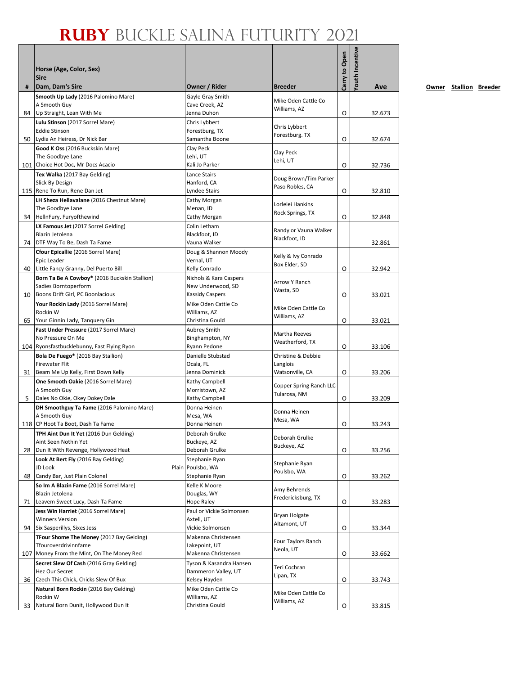|    | Horse (Age, Color, Sex)<br><b>Sire</b>                                           |                                             |                                 | Carry to Open | Youth Incentive |        |
|----|----------------------------------------------------------------------------------|---------------------------------------------|---------------------------------|---------------|-----------------|--------|
| #  | Dam, Dam's Sire                                                                  | Owner / Rider                               | <b>Breeder</b>                  |               |                 | Ave    |
|    | Smooth Up Lady (2016 Palomino Mare)<br>A Smooth Guy                              | Gayle Gray Smith<br>Cave Creek, AZ          | Mike Oden Cattle Co             |               |                 |        |
|    | 84   Up Straight, Lean With Me                                                   | Jenna Duhon                                 | Williams, AZ                    | O             |                 | 32.673 |
|    | Lulu Stinson (2017 Sorrel Mare)                                                  | Chris Lybbert                               |                                 |               |                 |        |
|    | <b>Eddie Stinson</b>                                                             | Forestburg, TX                              | Chris Lybbert<br>Forestburg. TX |               |                 |        |
|    | 50   Lydia An Heiress, Dr Nick Bar                                               | Samantha Boone                              |                                 | O             |                 | 32.674 |
|    | Good K Oss (2016 Buckskin Mare)                                                  | Clay Peck                                   | Clay Peck                       |               |                 |        |
|    | The Goodbye Lane<br>101 Choice Hot Doc, Mr Docs Acacio                           | Lehi, UT<br>Kali Jo Parker                  | Lehi, UT                        | O             |                 | 32.736 |
|    | Tex Walka (2017 Bay Gelding)                                                     | Lance Stairs                                |                                 |               |                 |        |
|    | Slick By Design                                                                  | Hanford, CA                                 | Doug Brown/Tim Parker           |               |                 |        |
|    | 115 Rene To Run, Rene Dan Jet                                                    | Lyndee Stairs                               | Paso Robles, CA                 | O             |                 | 32.810 |
|    | LH Sheza Hellavalane (2016 Chestnut Mare)                                        | Cathy Morgan                                | Lorlelei Hankins                |               |                 |        |
|    | The Goodbye Lane                                                                 | Menan, ID                                   | Rock Springs, TX                |               |                 |        |
| 34 | HellnFury, Furyofthewind<br>LX Famous Jet (2017 Sorrel Gelding)                  | Cathy Morgan<br>Colin Letham                |                                 | O             |                 | 32.848 |
|    | Blazin Jetolena                                                                  | Blackfoot. ID                               | Randy or Vauna Walker           |               |                 |        |
|    | 74   DTF Way To Be, Dash Ta Fame                                                 | Vauna Walker                                | Blackfoot, ID                   |               |                 | 32.861 |
|    | Cfour Epicallie (2016 Sorrel Mare)                                               | Doug & Shannon Moody                        | Kelly & Ivy Conrado             |               |                 |        |
|    | Epic Leader                                                                      | Vernal, UT                                  | Box Elder, SD                   |               |                 |        |
| 40 | Little Fancy Granny, Del Puerto Bill                                             | Kelly Conrado                               |                                 | O             |                 | 32.942 |
|    | Born Ta Be A Cowboy* (2016 Buckskin Stallion)<br>Sadies Borntoperform            | Nichols & Kara Caspers                      | Arrow Y Ranch                   |               |                 |        |
| 10 | Boons Drift Girl, PC Boonlacious                                                 | New Underwood, SD<br><b>Kassidy Caspers</b> | Wasta, SD                       | O             |                 | 33.021 |
|    | Your Rockin Lady (2016 Sorrel Mare)                                              | Mike Oden Cattle Co                         |                                 |               |                 |        |
|    | Rockin W                                                                         | Williams, AZ                                | Mike Oden Cattle Co             |               |                 |        |
| 65 | Your Ginnin Lady, Tanquery Gin                                                   | Christina Gould                             | Williams, AZ                    | O             |                 | 33.021 |
|    | Fast Under Pressure (2017 Sorrel Mare)                                           | <b>Aubrey Smith</b>                         | Martha Reeves                   |               |                 |        |
|    | No Pressure On Me                                                                | Binghampton, NY                             | Weatherford, TX                 |               |                 |        |
|    | 104 Ryonsfastbucklebunny, Fast Flying Ryon<br>Bola De Fuego* (2016 Bay Stallion) | Ryann Pedone<br>Danielle Stubstad           | Christine & Debbie              | O             |                 | 33.106 |
|    | <b>Firewater Flit</b>                                                            | Ocala, FL                                   | Langlois                        |               |                 |        |
| 31 | Beam Me Up Kelly, First Down Kelly                                               | Jenna Dominick                              | Watsonville, CA                 | O             |                 | 33.206 |
|    | One Smooth Oakie (2016 Sorrel Mare)                                              | Kathy Campbell                              | Copper Spring Ranch LLC         |               |                 |        |
|    | A Smooth Guy                                                                     | Morristown, AZ                              | Tularosa, NM                    |               |                 |        |
| 5  | Dales No Okie, Okey Dokey Dale                                                   | Kathy Campbell                              |                                 | O             |                 | 33.209 |
|    | DH Smoothguy Ta Fame (2016 Palomino Mare)<br>A Smooth Guy                        | Donna Heinen<br>Mesa, WA                    | Donna Heinen                    |               |                 |        |
|    | 118 CP Hoot Ta Boot, Dash Ta Fame                                                | Donna Heinen                                | Mesa, WA                        | O             |                 | 33.243 |
|    | TPH Aint Dun It Yet (2016 Dun Gelding)                                           | Deborah Grulke                              |                                 |               |                 |        |
|    | Aint Seen Nothin Yet                                                             | Buckeye, AZ                                 | Deborah Grulke<br>Buckeye, AZ   |               |                 |        |
| 28 | Dun It With Revenge, Hollywood Heat                                              | Deborah Grulke                              |                                 | O             |                 | 33.256 |
|    | Look At Bert Fly (2016 Bay Gelding)                                              | Stephanie Ryan                              | Stephanie Ryan                  |               |                 |        |
| 48 | JD Look<br>Candy Bar, Just Plain Colonel                                         | Plain Poulsbo, WA<br>Stephanie Ryan         | Poulsbo, WA                     | O             |                 | 33.262 |
|    | So Im A Blazin Fame (2016 Sorrel Mare)                                           | Kelle K Moore                               |                                 |               |                 |        |
|    | Blazin Jetolena                                                                  | Douglas, WY                                 | Amy Behrends                    |               |                 |        |
|    | 71 Leavem Sweet Lucy, Dash Ta Fame                                               | <b>Hope Raley</b>                           | Fredericksburg, TX              | O             |                 | 33.283 |
|    | Jess Win Harriet (2016 Sorrel Mare)                                              | Paul or Vickie Solmonsen                    | Bryan Holgate                   |               |                 |        |
|    | <b>Winners Version</b>                                                           | Axtell, UT                                  | Altamont, UT                    |               |                 |        |
| 94 | Six Sasperillys, Sixes Jess                                                      | Vickie Solmonsen                            |                                 | O             |                 | 33.344 |
|    | TFour Shome The Money (2017 Bay Gelding)<br>Tfouroverdrivinnfame                 | Makenna Christensen<br>Lakepoint, UT        | Four Taylors Ranch              |               |                 |        |
|    | 107 Money From the Mint, On The Money Red                                        | Makenna Christensen                         | Neola, UT                       | O             |                 | 33.662 |
|    | Secret Slew Of Cash (2016 Gray Gelding)                                          | Tyson & Kasandra Hansen                     |                                 |               |                 |        |
|    | Hez Our Secret                                                                   | Dammeron Valley, UT                         | Teri Cochran<br>Lipan, TX       |               |                 |        |
| 36 | Czech This Chick, Chicks Slew Of Bux                                             | Kelsey Hayden                               |                                 | O             |                 | 33.743 |
|    | Natural Born Rockin (2016 Bay Gelding)                                           | Mike Oden Cattle Co                         | Mike Oden Cattle Co             |               |                 |        |
| 33 | Rockin W<br>Natural Born Dunit, Hollywood Dun It                                 | Williams, AZ<br>Christina Gould             | Williams, AZ                    | O             |                 | 33.815 |
|    |                                                                                  |                                             |                                 |               |                 |        |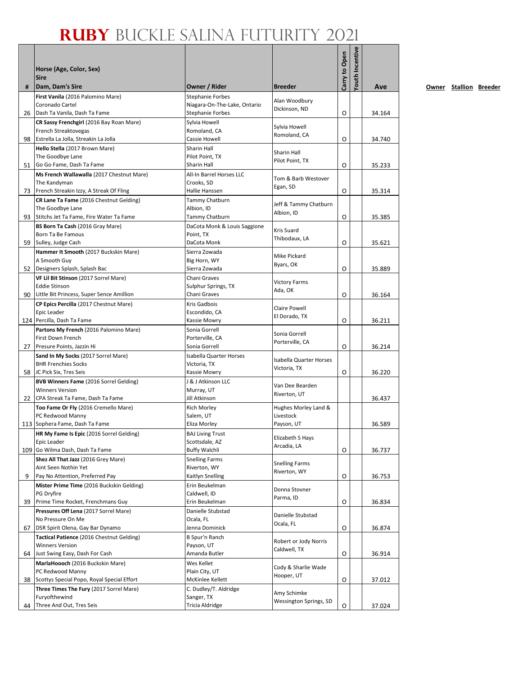|    | Horse (Age, Color, Sex)                                                                                     |                                                                                    |                                                 | Carry to Open | <b>Youth Incentive</b> |        |
|----|-------------------------------------------------------------------------------------------------------------|------------------------------------------------------------------------------------|-------------------------------------------------|---------------|------------------------|--------|
| #  | <b>Sire</b><br>Dam, Dam's Sire                                                                              | Owner / Rider                                                                      | <b>Breeder</b>                                  |               |                        | Ave    |
| 26 | First Vanila (2016 Palomino Mare)<br>Coronado Cartel<br>Dash Ta Vanila, Dash Ta Fame                        | <b>Stephanie Forbes</b><br>Niagara-On-The-Lake, Ontario<br><b>Stephanie Forbes</b> | Alan Woodbury<br>Dickinson, ND                  | O             |                        | 34.164 |
| 98 | CR Sassy Frenchgirl (2016 Bay Roan Mare)<br>French Streaktovegas<br>Estrella La Jolla, Streakin La Jolla    | Sylvia Howell<br>Romoland, CA<br>Cassie Howell                                     | Sylvia Howell<br>Romoland, CA                   | Ο             |                        | 34.740 |
| 51 | Hello Stella (2017 Brown Mare)<br>The Goodbye Lane<br>Go Go Fame, Dash Ta Fame                              | Sharin Hall<br>Pilot Point, TX<br>Sharin Hall                                      | <b>Sharin Hall</b><br>Pilot Point, TX           | O             |                        | 35.233 |
| 73 | Ms French Wallawalla (2017 Chestnut Mare)<br>The Kandyman<br>French Streakin Izzy, A Streak Of Fling        | All-In Barrel Horses LLC<br>Crooks, SD<br>Hallie Hanssen                           | Tom & Barb Westover<br>Egan, SD                 | O             |                        | 35.314 |
| 93 | CR Lane Ta Fame (2016 Chestnut Gelding)<br>The Goodbye Lane<br>Stitchs Jet Ta Fame, Fire Water Ta Fame      | Tammy Chatburn<br>Albion, ID<br>Tammy Chatburn                                     | Jeff & Tammy Chatburn<br>Albion, ID             | O             |                        | 35.385 |
| 59 | BS Born Ta Cash (2016 Gray Mare)<br>Born Ta Be Famous<br>Sulley, Judge Cash                                 | DaCota Monk & Louis Saggione<br>Point, TX<br>DaCota Monk                           | Kris Suard<br>Thibodaux, LA                     | Ο             |                        | 35.621 |
| 52 | Hammer It Smooth (2017 Buckskin Mare)<br>A Smooth Guy<br>Designers Splash, Splash Bac                       | Sierra Zowada<br>Big Horn, WY<br>Sierra Zowada                                     | Mike Pickard<br>Byars, OK                       | O             |                        | 35.889 |
| 90 | VF Lil Bit Stinson (2017 Sorrel Mare)<br><b>Eddie Stinson</b><br>Little Bit Princess, Super Sence Amillion  | Chani Graves<br>Sulphur Springs, TX<br>Chani Graves                                | <b>Victory Farms</b><br>Ada, OK                 | O             |                        | 36.164 |
|    | CP Epics Percilla (2017 Chestnut Mare)<br>Epic Leader<br>124 Percilla, Dash Ta Fame                         | Kris Gadbois<br>Escondido, CA<br>Kassie Mowry                                      | <b>Claire Powell</b><br>El Dorado, TX           | O             |                        | 36.211 |
| 27 | Partons My French (2016 Palomino Mare)<br>First Down French<br>Presure Points, Jazzin Hi                    | Sonia Gorrell<br>Porterville, CA<br>Sonia Gorrell                                  | Sonia Gorrell<br>Porterville, CA                | O             |                        | 36.214 |
| 58 | Sand In My Socks (2017 Sorrel Mare)<br><b>BHR Frenchies Socks</b><br>JC Pick Six, Tres Seis                 | Isabella Quarter Horses<br>Victoria, TX<br>Kassie Mowry                            | Isabella Quarter Horses<br>Victoria, TX         | O             |                        | 36.220 |
| 22 | <b>BVB Winners Fame</b> (2016 Sorrel Gelding)<br><b>Winners Version</b><br>CPA Streak Ta Fame, Dash Ta Fame | J & J Atkinson LLC<br>Murray, UT<br>Jill Atkinson                                  | Van Dee Bearden<br>Riverton, UT                 |               |                        | 36.437 |
|    | Too Fame Or Fly (2016 Cremello Mare)<br>PC Redwood Manny<br>113 Sophera Fame, Dash Ta Fame                  | <b>Rich Morley</b><br>Salem, UT<br>Eliza Morley                                    | Hughes Morley Land &<br>Livestock<br>Payson, UT |               |                        | 36.589 |
|    | HR My Fame Is Epic (2016 Sorrel Gelding)<br>Epic Leader<br>109 Go Wilma Dash, Dash Ta Fame                  | <b>BAJ Living Trust</b><br>Scottsdale, AZ<br><b>Buffy Walchli</b>                  | Elizabeth S Hays<br>Arcadia, LA                 | O             |                        | 36.737 |
| 9  | Shez All That Jazz (2016 Grey Mare)<br>Aint Seen Nothin Yet<br>Pay No Attention, Preferred Pay              | <b>Snelling Farms</b><br>Riverton, WY<br>Kaitlyn Snelling                          | <b>Snelling Farms</b><br>Riverton, WY           | O             |                        | 36.753 |
| 39 | Mister Prime Time (2016 Buckskin Gelding)<br>PG Dryfire<br>Prime Time Rocket, Frenchmans Guy                | Erin Beukelman<br>Caldwell, ID<br>Erin Beukelman                                   | Donna Stovner<br>Parma, ID                      | Ο             |                        | 36.834 |
| 67 | Pressures Off Lena (2017 Sorrel Mare)<br>No Pressure On Me<br>DSR Spirit Olena, Gay Bar Dynamo              | Danielle Stubstad<br>Ocala, FL<br>Jenna Dominick                                   | Danielle Stubstad<br>Ocala, FL                  | O             |                        | 36.874 |
| 64 | Tactical Patience (2016 Chestnut Gelding)<br><b>Winners Version</b><br>Just Swing Easy, Dash For Cash       | B Spur'n Ranch<br>Payson, UT<br>Amanda Butler                                      | Robert or Jody Norris<br>Caldwell, TX           | O             |                        | 36.914 |
| 38 | MarlaHoooch (2016 Buckskin Mare)<br>PC Redwood Manny<br>Scottys Special Popo, Royal Special Effort          | Wes Kellet<br>Plain City, UT<br>McKinlee Kellett                                   | Cody & Sharlie Wade<br>Hooper, UT               | O             |                        | 37.012 |
|    | Three Times The Fury (2017 Sorrel Mare)<br>Furyofthewind                                                    | C. Dudley/T. Aldridge<br>Sanger, TX                                                | Amy Schimke<br>Wessington Springs, SD           |               |                        |        |
| 44 | Three And Out, Tres Seis                                                                                    | Tricia Aldridge                                                                    |                                                 | 0             |                        | 37.024 |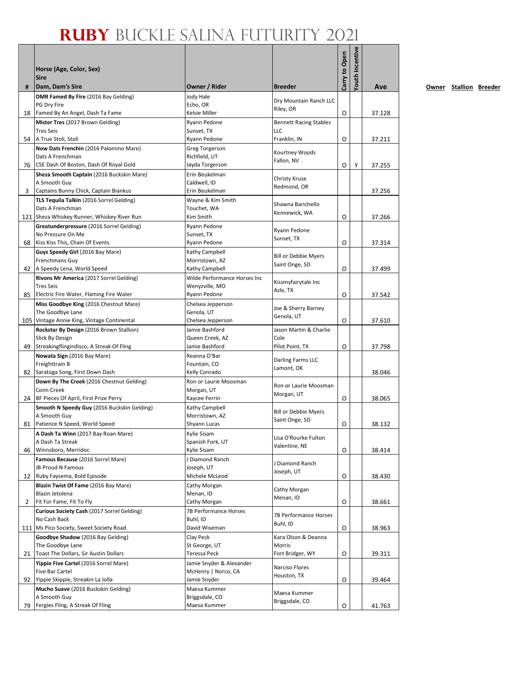|    |                                                                                         |                                        |                               |               | <b>Youth Incentive</b> |        |
|----|-----------------------------------------------------------------------------------------|----------------------------------------|-------------------------------|---------------|------------------------|--------|
|    | Horse (Age, Color, Sex)                                                                 |                                        |                               | Carry to Open |                        |        |
|    | <b>Sire</b>                                                                             |                                        |                               |               |                        |        |
| #  | Dam, Dam's Sire                                                                         | Owner / Rider                          | <b>Breeder</b>                |               |                        | Ave    |
|    | DMR Famed By Fire (2016 Bay Gelding)                                                    | Jody Hale                              | Dry Mountain Ranch LLC        |               |                        |        |
| 18 | PG Dry Fire<br>Famed By An Angel, Dash Ta Fame                                          | Echo, OR<br>Kelsie Miller              | Riley, OR                     | O             |                        | 37.128 |
|    | Mister Tres (2017 Brown Gelding)                                                        | Ryann Pedone                           | <b>Bennett Racing Stables</b> |               |                        |        |
|    | <b>Tres Seis</b>                                                                        | Sunset, TX                             | LLC                           |               |                        |        |
| 54 | A True Stoli, Stoli                                                                     | Ryann Pedone                           | Franklin, IN                  | O             |                        | 37.211 |
|    | Now Dats Frenchin (2016 Palomino Mare)<br>Dats A Frenchman                              | <b>Greg Torgerson</b><br>Richfield, UT | Kourtney Woods                |               |                        |        |
| 76 | CSE Dash Of Boston, Dash Of Royal Gold                                                  | Jayda Torgerson                        | Fallon, NV                    | O             | Υ                      | 37.255 |
|    | Sheza Smooth Captain (2016 Buckskin Mare)                                               | Erin Beukelman                         |                               |               |                        |        |
|    | A Smooth Guy                                                                            | Caldwell, ID                           | Christy Kruse<br>Redmond, OR  |               |                        |        |
| 3  | Captains Bunny Chick, Captain Biankus                                                   | Erin Beukelman                         |                               |               |                        | 37.256 |
|    | TLS Tequila Talkin (2016 Sorrel Gelding)                                                | Wayne & Kim Smith                      | Shawna Barichello             |               |                        |        |
|    | Dats A Frenchman<br>121 Sheza Whiskey Runner, Whiskey River Run                         | Touchet, WA<br>Kim Smith               | Kennewick, WA                 | O             |                        | 37.266 |
|    | Greatunderpressure (2016 Sorrel Gelding)                                                | Ryann Pedone                           |                               |               |                        |        |
|    | No Pressure On Me                                                                       | Sunset, TX                             | Ryann Pedone                  |               |                        |        |
| 68 | Kiss Kiss This, Chain Of Events                                                         | Ryann Pedone                           | Sunset, TX                    | O             |                        | 37.314 |
|    | Guyz Speedy Girl (2016 Bay Mare)                                                        | Kathy Campbell                         | <b>Bill or Debbie Myers</b>   |               |                        |        |
| 42 | Frenchmans Guy<br>A Speedy Lena, World Speed                                            | Morristown, AZ<br>Kathy Campbell       | Saint Onge, SD                | O             |                        | 37.499 |
|    | Rivons Mr America (2017 Sorrel Gelding)                                                 | Wilde Performance Horses Inc           |                               |               |                        |        |
|    | <b>Tres Seis</b>                                                                        | Wenyzville, MO                         | Kissmyfairytale Inc           |               |                        |        |
| 85 | Electric Fire Water, Flaming Fire Water                                                 | Ryann Pedone                           | Azle, TX                      | O             |                        | 37.542 |
|    | Miss Goodbye King (2016 Chestnut Mare)                                                  | Chelsea Jepperson                      | Joe & Sherry Barney           |               |                        |        |
|    | The Goodbye Lane                                                                        | Genola, UT                             | Genola, UT                    | O             |                        |        |
|    | 105 Vintage Annie King, Vintage Continental<br>Rockstar By Design (2016 Brown Stallion) | Chelsea Jepperson<br>Jamie Bashford    | Jason Martin & Charlie        |               |                        | 37.610 |
|    | Slick By Design                                                                         | Queen Creek, AZ                        | Cole                          |               |                        |        |
| 49 | Streakingflingindisco, A Streak Of Fling                                                | Jamie Bashford                         | Pilot Point, TX               | O             |                        | 37.798 |
|    | Nowata Sign (2016 Bay Mare)                                                             | Reanna O'Bar                           | Darling Farms LLC             |               |                        |        |
|    | Freighttrain B                                                                          | Fountain, CO                           | Lamont, OK                    |               |                        |        |
| 82 | Saratoga Song, First Down Dash<br>Down By The Creek (2016 Chestnut Gelding)             | Kelly Conrado<br>Ron or Laurie Moosman |                               |               |                        | 38.046 |
|    | Conn Creek                                                                              | Morgan, UT                             | Ron or Laurie Moosman         |               |                        |        |
| 24 | BF Pieces Of April, First Prize Perry                                                   | Kaycee Ferrin                          | Morgan, UT                    | O             |                        | 38.065 |
|    | Smooth N Speedy Guy (2016 Buckskin Gelding)                                             | Kathy Campbell                         | <b>Bill or Debbie Myers</b>   |               |                        |        |
|    | A Smooth Guy                                                                            | Morristown, AZ                         | Saint Onge, SD                |               |                        |        |
| 81 | Patience N Speed, World Speed<br>A Dash Ta Winn (2017 Bay Roan Mare)                    | Shyann Lucas<br>Kylie Sisam            |                               | O             |                        | 38.132 |
|    | A Dash Ta Streak                                                                        | Spanish Fork, UT                       | Lisa O'Rourke Fulton          |               |                        |        |
| 46 | Winnsboro, Merridoc                                                                     | Kylie Sisam                            | Valentine, NE                 | O             |                        | 38.414 |
|    | Famous Because (2016 Sorrel Mare)                                                       | J Diamond Ranch                        | J Diamond Ranch               |               |                        |        |
|    | JB Proud N Famous<br>12 Ruby Faysema, Bold Episode                                      | Joseph, UT<br>Michele McLeod           | Joseph, UT                    | O             |                        |        |
|    | Blazin Twist Of Fame (2016 Bay Mare)                                                    | Cathy Morgan                           |                               |               |                        | 38.430 |
|    | Blazin Jetolena                                                                         | Menan, ID                              | Cathy Morgan                  |               |                        |        |
| 2  | Fit For Fame, Fit To Fly                                                                | Cathy Morgan                           | Menan, ID                     | O             |                        | 38.661 |
|    | Curious Society Cash (2017 Sorrel Gelding)                                              | 7B Performance Horses                  | 7B Performance Horses         |               |                        |        |
|    | No Cash Back<br>111   Ms Pico Society, Sweet Society Road                               | Buhl, ID                               | Buhl, ID                      |               |                        |        |
|    | Goodbye Shadow (2016 Bay Gelding)                                                       | David Wiseman<br>Clay Peck             | Kara Olson & Deanna           | O             |                        | 38.963 |
|    | The Goodbye Lane                                                                        | St George, UT                          | Morris                        |               |                        |        |
|    | 21 Toast The Dollars, Sir Austin Dollars                                                | Teressa Peck                           | Fort Bridger, WY              | O             |                        | 39.311 |
|    | Yippie Five Cartel (2016 Sorrel Mare)                                                   | Jamie Snyder & Alexander               | Narciso Flores                |               |                        |        |
|    | Five Bar Cartel                                                                         | McHenry   Norco, CA                    | Houston, TX                   |               |                        |        |
| 92 | Yippie Skippie, Streakin La Jolla<br>Mucho Suave (2016 Buckskin Gelding)                | Jamie Snyder<br>Maesa Kummer           |                               | O             |                        | 39.464 |
|    | A Smooth Guy                                                                            | Briggsdale, CO                         | Maesa Kummer                  |               |                        |        |
| 79 | Fergies Fling, A Streak Of Fling                                                        | Maesa Kummer                           | Briggsdale, CO                | O             |                        | 41.763 |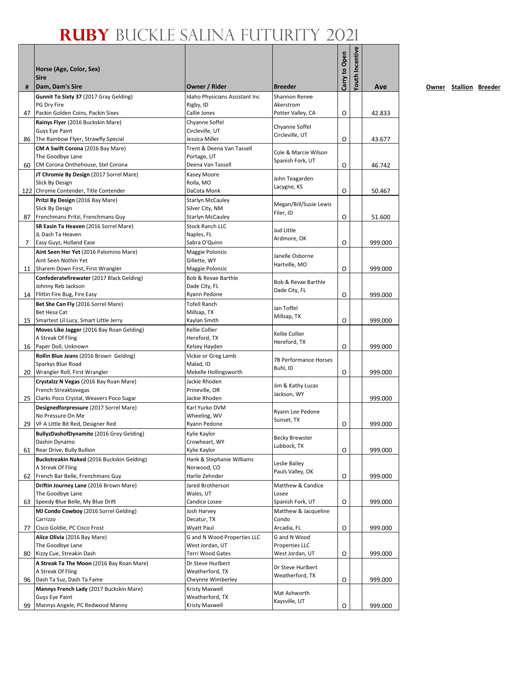|    |                                                                               |                                            |                                  | Carry to Open | <b>/outh Incentive</b> |         |
|----|-------------------------------------------------------------------------------|--------------------------------------------|----------------------------------|---------------|------------------------|---------|
|    | Horse (Age, Color, Sex)<br><b>Sire</b>                                        |                                            |                                  |               |                        |         |
| #  | Dam, Dam's Sire                                                               | Owner / Rider                              | <b>Breeder</b>                   |               |                        | Ave     |
|    | Gunnit To Sixty 37 (2017 Gray Gelding)                                        | Idaho Physicians Assistant Inc             | <b>Shannon Renee</b>             |               |                        |         |
|    | PG Dry Fire                                                                   | Rigby, ID<br>Callie Jones                  | Akerstrom                        |               |                        |         |
| 47 | Packin Golden Coins, Packin Sixes<br>Rainys Flyer (2016 Buckskin Mare)        | Chyanne Soffel                             | Potter Valley, CA                | O             |                        | 42.833  |
|    | Guys Eye Paint                                                                | Circleville, UT                            | Chyanne Soffel                   |               |                        |         |
| 86 | The Rainbow Flyer, Strawfly Special                                           | Jessica Miller                             | Circleville, UT                  | O             |                        | 43.677  |
|    | CM A Swift Corona (2016 Bay Mare)                                             | Trent & Deena Van Tassell                  | Cole & Marcie Wilson             |               |                        |         |
| 60 | The Goodbye Lane<br>CM Corona Onthehouse, Stel Corona                         | Portage, UT<br>Deena Van Tassell           | Spanish Fork, UT                 | O             |                        | 46.742  |
|    | JT Chromie By Design (2017 Sorrel Mare)                                       | Kasey Moore                                |                                  |               |                        |         |
|    | Slick By Design                                                               | Rolla, MO                                  | John Teagarden<br>Lacygne, KS    |               |                        |         |
|    | 122 Chrome Contender, Title Contender                                         | DaCota Monk                                |                                  | O             |                        | 50.467  |
|    | Pritzi By Design (2016 Bay Mare)                                              | <b>Starlyn McCauley</b>                    | Megan/Bill/Susie Lewis           |               |                        |         |
| 87 | Slick By Design<br>Frenchmans Pritzi, Frenchmans Guy                          | Silver City, NM<br><b>Starlyn McCauley</b> | Filer, ID                        | O             |                        | 51.600  |
|    | SR Easin Ta Heaven (2016 Sorrel Mare)                                         | <b>Stock Ranch LLC</b>                     |                                  |               |                        |         |
|    | JL Dash Ta Heaven                                                             | Naples, FL                                 | <b>Jud Little</b><br>Ardmore, OK |               |                        |         |
| 7  | Easy Guyz, Holland Ease                                                       | Sabra O'Quinn                              |                                  | O             |                        | 999.000 |
|    | Aint Seen Her Yet (2016 Palomino Mare)                                        | Maggie Poloncic                            | Janelle Osborne                  |               |                        |         |
| 11 | Aint Seen Nothin Yet<br>Sharem Down First, First Wrangler                     | Gillette, WY<br>Maggie Poloncic            | Hartville, MO                    | O             |                        | 999.000 |
|    | Confederatefirewater (2017 Black Gelding)                                     | Bob & Revae Barthle                        |                                  |               |                        |         |
|    | Johnny Reb Jackson                                                            | Dade City, FL                              | Bob & Revae Barthle              |               |                        |         |
| 14 | Flittin Fire Bug, Fire Easy                                                   | Ryann Pedone                               | Dade City, FL                    | O             |                        | 999.000 |
|    | Bet She Can Fly (2016 Sorrel Mare)                                            | <b>Tofell Ranch</b>                        | Jan Toffel                       |               |                        |         |
| 15 | Bet Hesa Cat<br>Smartest Lil Lucy, Smart Little Jerry                         | Millsap, TX<br>Kaylan Smith                | Millsap, TX                      | O             |                        | 999.000 |
|    | Moves Like Jagger (2016 Bay Roan Gelding)                                     | Kellie Collier                             |                                  |               |                        |         |
|    | A Streak Of Fling                                                             | Hereford, TX                               | Kellie Collier                   |               |                        |         |
| 16 | Paper Doll, Unknown                                                           | Kelsey Hayden                              | Hereford, TX                     | O             |                        | 999.000 |
|    | Rollin Blue Jeans (2016 Brown Gelding)                                        | Vickie or Greg Lamb                        | <b>7B Performance Horses</b>     |               |                        |         |
|    | Sparkys Blue Road<br>Wrangler Roll, First Wrangler                            | Malad, ID<br>Mekelle Hollingsworth         | Buhl, ID                         | O             |                        | 999.000 |
| 20 | Crystalzz N Vegas (2016 Bay Roan Mare)                                        | Jackie Rhoden                              |                                  |               |                        |         |
|    | French Streaktovegas                                                          | Prineville, OR                             | Jim & Kathy Lucas                |               |                        |         |
| 25 | Clarks Poco Crystal, Weavers Poco Sugar                                       | Jackie Rhoden                              | Jackson, WY                      |               |                        | 999.000 |
|    | Designedforpressure (2017 Sorrel Mare)                                        | Karl Yurko DVM                             | Ryann Lee Pedone                 |               |                        |         |
|    | No Pressure On Me                                                             | Wheeling, WV                               | Sunset, TX                       |               |                        |         |
| 29 | VF A Little Bit Red, Designer Red<br>BullyzDashofDynamite (2016 Grey Gelding) | Ryann Pedone<br>Kylie Kaylor               |                                  | O             |                        | 999.000 |
|    | Dashin Dynamo                                                                 | Crowheart, WY                              | <b>Becky Brewster</b>            |               |                        |         |
| 61 | Rear Drive, Bully Bullion                                                     | Kylie Kaylor                               | Lubbock, TX                      | O             |                        | 999.000 |
|    | Buckstreakin Naked (2016 Buckskin Gelding)                                    | Hank & Stephanie Williams                  | Leslie Bailey                    |               |                        |         |
|    | A Streak Of Fling<br>French Bar Belle, Frenchmans Guy                         | Norwood, CO                                | Pauls Valley, OK                 |               |                        |         |
| 62 | Driftin Journey Lane (2016 Brown Mare)                                        | Harlie Zehnder<br>Jared Brotherson         | Matthew & Candice                | O             |                        | 999.000 |
|    | The Goodbye Lane                                                              | Wales, UT                                  | Losee                            |               |                        |         |
| 63 | Speedy Blue Belle, My Blue Drift                                              | Candice Losee                              | Spanish Fork, UT                 | O             |                        | 999.000 |
|    | MJ Condo Cowboy (2016 Sorrel Gelding)                                         | Josh Harvey                                | Matthew & Jacqueline             |               |                        |         |
|    | Carrizzo<br>Cisco Goldie, PC Cisco Frost                                      | Decatur, TX                                | Condo                            |               |                        |         |
| 77 | Alice Olivia (2016 Bay Mare)                                                  | Wyatt Paul<br>G and N Wood Properties LLC  | Arcadia, FL<br>G and N Wood      | O             |                        | 999.000 |
|    | The Goodbye Lane                                                              | West Jordan, UT                            | Properties LLC                   |               |                        |         |
| 80 | Kizzy Cue, Streakin Dash                                                      | Terri Wood Gates                           | West Jordan, UT                  | O             |                        | 999.000 |
|    | A Streak Ta The Moon (2016 Bay Roan Mare)                                     | Dr Steve Hurlbert                          | Dr Steve Hurlbert                |               |                        |         |
|    | A Streak Of Fling                                                             | Weatherford, TX                            | Weatherford, TX                  |               |                        |         |
| 96 | Dash Ta Suz, Dash Ta Fame<br>Mannys French Lady (2017 Buckskin Mare)          | Cheynne Wimberley<br>Kristy Maxwell        |                                  | O             |                        | 999.000 |
|    | <b>Guys Eye Paint</b>                                                         | Weatherford, TX                            | Mat Ashworth                     |               |                        |         |
| 99 | Mannys Angele, PC Redwood Manny                                               | Kristy Maxwell                             | Kaysville, UT                    | Ο             |                        | 999.000 |